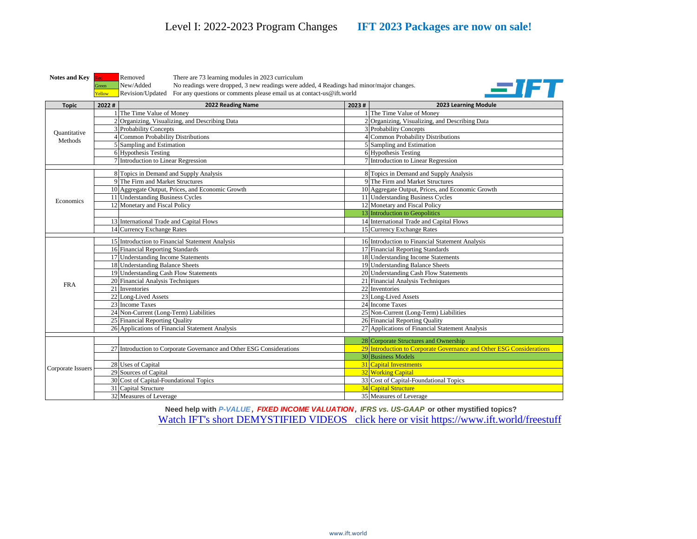**Notes and Key** Red Removed There are 73 learning modules in 2023 curriculum Green New/Added No readings were dropped, 3 new readings were added, 4 Readings had minor/major changes. Yellow Revision/Updated For any questions or comments please email us at contact-us@ift.world



| <b>Topic</b>                   | 2022# | 2022 Reading Name                                                    | 2023# | 2023 Learning Module                                                 |
|--------------------------------|-------|----------------------------------------------------------------------|-------|----------------------------------------------------------------------|
| <b>Quantitative</b><br>Methods |       | 1 The Time Value of Money                                            |       | 1 The Time Value of Money                                            |
|                                |       | 2 Organizing, Visualizing, and Describing Data                       |       | 2 Organizing, Visualizing, and Describing Data                       |
|                                |       | 3 Probability Concepts                                               |       | 3 Probability Concepts                                               |
|                                |       | 4 Common Probability Distributions                                   |       | 4 Common Probability Distributions                                   |
|                                |       | 5 Sampling and Estimation                                            |       | 5 Sampling and Estimation                                            |
|                                |       | 6 Hypothesis Testing                                                 |       | 6 Hypothesis Testing                                                 |
|                                |       | 7 Introduction to Linear Regression                                  |       | 7 Introduction to Linear Regression                                  |
|                                |       |                                                                      |       |                                                                      |
|                                |       | 8 Topics in Demand and Supply Analysis                               |       | 8 Topics in Demand and Supply Analysis                               |
|                                |       | 9 The Firm and Market Structures                                     |       | 9 The Firm and Market Structures                                     |
|                                |       | 10 Aggregate Output, Prices, and Economic Growth                     |       | 10 Aggregate Output, Prices, and Economic Growth                     |
| Economics                      |       | 11 Understanding Business Cycles                                     |       | 11 Understanding Business Cycles                                     |
|                                |       | 12 Monetary and Fiscal Policy                                        |       | 12 Monetary and Fiscal Policy                                        |
|                                |       |                                                                      |       | 13 Introduction to Geopolitics                                       |
|                                |       | 13 International Trade and Capital Flows                             |       | 14 International Trade and Capital Flows                             |
|                                |       | 14 Currency Exchange Rates                                           |       | 15 Currency Exchange Rates                                           |
|                                |       | 15 Introduction to Financial Statement Analysis                      |       | 16 Introduction to Financial Statement Analysis                      |
|                                |       | 16 Financial Reporting Standards                                     |       | 17 Financial Reporting Standards                                     |
|                                |       | 17 Understanding Income Statements                                   |       | 18 Understanding Income Statements                                   |
|                                |       | 18 Understanding Balance Sheets                                      |       | 19 Understanding Balance Sheets                                      |
|                                |       | 19 Understanding Cash Flow Statements                                |       | 20 Understanding Cash Flow Statements                                |
|                                |       | 20 Financial Analysis Techniques                                     |       | 21 Financial Analysis Techniques                                     |
| <b>FRA</b>                     |       | 21 Inventories                                                       |       | 22 Inventories                                                       |
|                                |       | 22 Long-Lived Assets                                                 |       | 23 Long-Lived Assets                                                 |
|                                |       | 23 Income Taxes                                                      |       | 24 Income Taxes                                                      |
|                                |       | 24 Non-Current (Long-Term) Liabilities                               |       | 25 Non-Current (Long-Term) Liabilities                               |
|                                |       | 25 Financial Reporting Quality                                       |       | 26 Financial Reporting Quality                                       |
|                                |       | 26 Applications of Financial Statement Analysis                      |       | 27 Applications of Financial Statement Analysis                      |
|                                |       |                                                                      |       |                                                                      |
| Corporate Issuers              |       | 27 Introduction to Corporate Governance and Other ESG Considerations |       | 28 Corporate Structures and Ownership                                |
|                                |       |                                                                      |       | 29 Introduction to Corporate Governance and Other ESG Considerations |
|                                |       |                                                                      |       | 30 Business Models<br><b>31</b> Capital Investments                  |
|                                |       | 28 Uses of Capital                                                   |       |                                                                      |
|                                |       | 29 Sources of Capital                                                |       | 32 Working Capital                                                   |
|                                |       | 30 Cost of Capital-Foundational Topics                               |       | 33 Cost of Capital-Foundational Topics                               |
|                                |       | 31 Capital Structure                                                 |       | 34 Capital Structure                                                 |
|                                |       | 32 Measures of Leverage                                              |       | 35 Measures of Leverage                                              |

**Need help with** *P-VALUE , FIXED INCOME VALUATION , IFRS vs. US-GAAP* **or other mystified topics?** [Watch IFT's short DEMYSTIFIED VIDEOS](https://ift.world/freestuff/?utm_source=document&utm_medium=pdf-prog-changes&utm_content=program-changes&utm_campaign=2018-program-changes-pdf) click here or visit https://www.ift.world/freestuff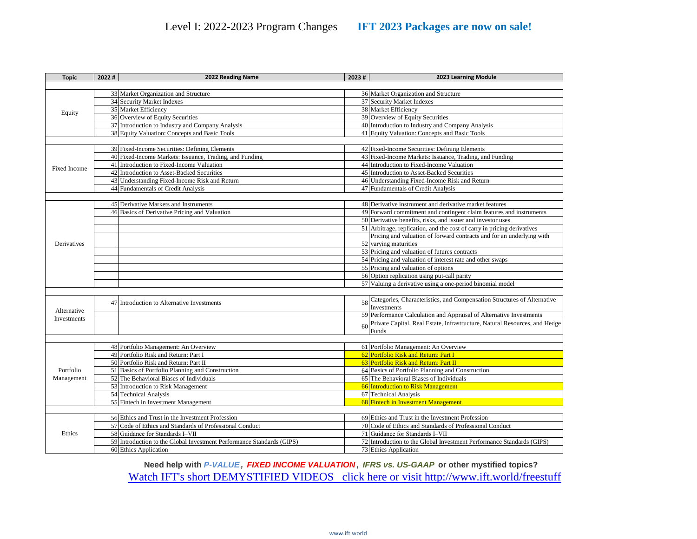| 33 Market Organization and Structure<br>36 Market Organization and Structure<br>37 Security Market Indexes<br>34 Security Market Indexes<br>35 Market Efficiency<br>38 Market Efficiency<br>Equity<br>36 Overview of Equity Securities<br>39 Overview of Equity Securities<br>37 Introduction to Industry and Company Analysis<br>40 Introduction to Industry and Company Analysis<br>38 Equity Valuation: Concepts and Basic Tools<br>41 Equity Valuation: Concepts and Basic Tools<br>39 Fixed-Income Securities: Defining Elements<br>42 Fixed-Income Securities: Defining Elements<br>40 Fixed-Income Markets: Issuance, Trading, and Funding<br>43 Fixed-Income Markets: Issuance, Trading, and Funding<br>41 Introduction to Fixed-Income Valuation<br>44 Introduction to Fixed-Income Valuation<br><b>Fixed Income</b><br>42 Introduction to Asset-Backed Securities<br>45 Introduction to Asset-Backed Securities<br>43 Understanding Fixed-Income Risk and Return<br>46 Understanding Fixed-Income Risk and Return<br>44 Fundamentals of Credit Analysis<br>47 Fundamentals of Credit Analysis<br>45 Derivative Markets and Instruments<br>48 Derivative instrument and derivative market features<br>46 Basics of Derivative Pricing and Valuation<br>49 Forward commitment and contingent claim features and instruments<br>50 Derivative benefits, risks, and issuer and investor uses<br>51 Arbitrage, replication, and the cost of carry in pricing derivatives<br>Pricing and valuation of forward contracts and for an underlying with<br>Derivatives<br>52 varying maturities<br>53 Pricing and valuation of futures contracts<br>54 Pricing and valuation of interest rate and other swaps<br>55 Pricing and valuation of options<br>56 Option replication using put-call parity<br>57 Valuing a derivative using a one-period binomial model<br>58 Categories, Characteristics, and Compensation Structures of Alternative<br>47 Introduction to Alternative Investments<br>Investments<br>Alternative<br>59 Performance Calculation and Appraisal of Alternative Investments<br>Investments<br>60<br>Funds<br>61 Portfolio Management: An Overview<br>48 Portfolio Management: An Overview<br>49 Portfolio Risk and Return: Part I<br>62 Portfolio Risk and Return: Part I<br>63 Portfolio Risk and Return: Part II<br>50 Portfolio Risk and Return: Part II<br>64 Basics of Portfolio Planning and Construction<br>51 Basics of Portfolio Planning and Construction<br>Portfolio<br>52 The Behavioral Biases of Individuals<br>65 The Behavioral Biases of Individuals<br>Management<br>53 Introduction to Risk Management<br>66 Introduction to Risk Management<br>54 Technical Analysis<br>67 Technical Analysis<br>55 Fintech in Investment Management<br>68 Fintech in Investment Management<br>56 Ethics and Trust in the Investment Profession<br>69 Ethics and Trust in the Investment Profession<br>70 Code of Ethics and Standards of Professional Conduct<br>57 Code of Ethics and Standards of Professional Conduct<br>58 Guidance for Standards I-VII<br>71 Guidance for Standards I-VII<br>Ethics<br>59 Introduction to the Global Investment Performance Standards (GIPS)<br>72 Introduction to the Global Investment Performance Standards (GIPS)<br>60 Ethics Application<br>73 Ethics Application | <b>Topic</b> | 2022# | 2022 Reading Name | 2023# | 2023 Learning Module |  |  |  |
|-----------------------------------------------------------------------------------------------------------------------------------------------------------------------------------------------------------------------------------------------------------------------------------------------------------------------------------------------------------------------------------------------------------------------------------------------------------------------------------------------------------------------------------------------------------------------------------------------------------------------------------------------------------------------------------------------------------------------------------------------------------------------------------------------------------------------------------------------------------------------------------------------------------------------------------------------------------------------------------------------------------------------------------------------------------------------------------------------------------------------------------------------------------------------------------------------------------------------------------------------------------------------------------------------------------------------------------------------------------------------------------------------------------------------------------------------------------------------------------------------------------------------------------------------------------------------------------------------------------------------------------------------------------------------------------------------------------------------------------------------------------------------------------------------------------------------------------------------------------------------------------------------------------------------------------------------------------------------------------------------------------------------------------------------------------------------------------------------------------------------------------------------------------------------------------------------------------------------------------------------------------------------------------------------------------------------------------------------------------------------------------------------------------------------------------------------------------------------------------------------------------------------------------------------------------------------------------------------------------------------------------------------------------------------------------------------------------------------------------------------------------------------------------------------------------------------------------------------------------------------------------------------------------------------------------------------------------------------------------------------------------------------------------------------------------------------------------------------------------------------------------------------------------------------------------------------------------------------------------------------------------------------------------------------------------------------------------------|--------------|-------|-------------------|-------|----------------------|--|--|--|
|                                                                                                                                                                                                                                                                                                                                                                                                                                                                                                                                                                                                                                                                                                                                                                                                                                                                                                                                                                                                                                                                                                                                                                                                                                                                                                                                                                                                                                                                                                                                                                                                                                                                                                                                                                                                                                                                                                                                                                                                                                                                                                                                                                                                                                                                                                                                                                                                                                                                                                                                                                                                                                                                                                                                                                                                                                                                                                                                                                                                                                                                                                                                                                                                                                                                                                                                         |              |       |                   |       |                      |  |  |  |
|                                                                                                                                                                                                                                                                                                                                                                                                                                                                                                                                                                                                                                                                                                                                                                                                                                                                                                                                                                                                                                                                                                                                                                                                                                                                                                                                                                                                                                                                                                                                                                                                                                                                                                                                                                                                                                                                                                                                                                                                                                                                                                                                                                                                                                                                                                                                                                                                                                                                                                                                                                                                                                                                                                                                                                                                                                                                                                                                                                                                                                                                                                                                                                                                                                                                                                                                         |              |       |                   |       |                      |  |  |  |
|                                                                                                                                                                                                                                                                                                                                                                                                                                                                                                                                                                                                                                                                                                                                                                                                                                                                                                                                                                                                                                                                                                                                                                                                                                                                                                                                                                                                                                                                                                                                                                                                                                                                                                                                                                                                                                                                                                                                                                                                                                                                                                                                                                                                                                                                                                                                                                                                                                                                                                                                                                                                                                                                                                                                                                                                                                                                                                                                                                                                                                                                                                                                                                                                                                                                                                                                         |              |       |                   |       |                      |  |  |  |
|                                                                                                                                                                                                                                                                                                                                                                                                                                                                                                                                                                                                                                                                                                                                                                                                                                                                                                                                                                                                                                                                                                                                                                                                                                                                                                                                                                                                                                                                                                                                                                                                                                                                                                                                                                                                                                                                                                                                                                                                                                                                                                                                                                                                                                                                                                                                                                                                                                                                                                                                                                                                                                                                                                                                                                                                                                                                                                                                                                                                                                                                                                                                                                                                                                                                                                                                         |              |       |                   |       |                      |  |  |  |
|                                                                                                                                                                                                                                                                                                                                                                                                                                                                                                                                                                                                                                                                                                                                                                                                                                                                                                                                                                                                                                                                                                                                                                                                                                                                                                                                                                                                                                                                                                                                                                                                                                                                                                                                                                                                                                                                                                                                                                                                                                                                                                                                                                                                                                                                                                                                                                                                                                                                                                                                                                                                                                                                                                                                                                                                                                                                                                                                                                                                                                                                                                                                                                                                                                                                                                                                         |              |       |                   |       |                      |  |  |  |
| Private Capital, Real Estate, Infrastructure, Natural Resources, and Hedge                                                                                                                                                                                                                                                                                                                                                                                                                                                                                                                                                                                                                                                                                                                                                                                                                                                                                                                                                                                                                                                                                                                                                                                                                                                                                                                                                                                                                                                                                                                                                                                                                                                                                                                                                                                                                                                                                                                                                                                                                                                                                                                                                                                                                                                                                                                                                                                                                                                                                                                                                                                                                                                                                                                                                                                                                                                                                                                                                                                                                                                                                                                                                                                                                                                              |              |       |                   |       |                      |  |  |  |
|                                                                                                                                                                                                                                                                                                                                                                                                                                                                                                                                                                                                                                                                                                                                                                                                                                                                                                                                                                                                                                                                                                                                                                                                                                                                                                                                                                                                                                                                                                                                                                                                                                                                                                                                                                                                                                                                                                                                                                                                                                                                                                                                                                                                                                                                                                                                                                                                                                                                                                                                                                                                                                                                                                                                                                                                                                                                                                                                                                                                                                                                                                                                                                                                                                                                                                                                         |              |       |                   |       |                      |  |  |  |
|                                                                                                                                                                                                                                                                                                                                                                                                                                                                                                                                                                                                                                                                                                                                                                                                                                                                                                                                                                                                                                                                                                                                                                                                                                                                                                                                                                                                                                                                                                                                                                                                                                                                                                                                                                                                                                                                                                                                                                                                                                                                                                                                                                                                                                                                                                                                                                                                                                                                                                                                                                                                                                                                                                                                                                                                                                                                                                                                                                                                                                                                                                                                                                                                                                                                                                                                         |              |       |                   |       |                      |  |  |  |
|                                                                                                                                                                                                                                                                                                                                                                                                                                                                                                                                                                                                                                                                                                                                                                                                                                                                                                                                                                                                                                                                                                                                                                                                                                                                                                                                                                                                                                                                                                                                                                                                                                                                                                                                                                                                                                                                                                                                                                                                                                                                                                                                                                                                                                                                                                                                                                                                                                                                                                                                                                                                                                                                                                                                                                                                                                                                                                                                                                                                                                                                                                                                                                                                                                                                                                                                         |              |       |                   |       |                      |  |  |  |
|                                                                                                                                                                                                                                                                                                                                                                                                                                                                                                                                                                                                                                                                                                                                                                                                                                                                                                                                                                                                                                                                                                                                                                                                                                                                                                                                                                                                                                                                                                                                                                                                                                                                                                                                                                                                                                                                                                                                                                                                                                                                                                                                                                                                                                                                                                                                                                                                                                                                                                                                                                                                                                                                                                                                                                                                                                                                                                                                                                                                                                                                                                                                                                                                                                                                                                                                         |              |       |                   |       |                      |  |  |  |
|                                                                                                                                                                                                                                                                                                                                                                                                                                                                                                                                                                                                                                                                                                                                                                                                                                                                                                                                                                                                                                                                                                                                                                                                                                                                                                                                                                                                                                                                                                                                                                                                                                                                                                                                                                                                                                                                                                                                                                                                                                                                                                                                                                                                                                                                                                                                                                                                                                                                                                                                                                                                                                                                                                                                                                                                                                                                                                                                                                                                                                                                                                                                                                                                                                                                                                                                         |              |       |                   |       |                      |  |  |  |
|                                                                                                                                                                                                                                                                                                                                                                                                                                                                                                                                                                                                                                                                                                                                                                                                                                                                                                                                                                                                                                                                                                                                                                                                                                                                                                                                                                                                                                                                                                                                                                                                                                                                                                                                                                                                                                                                                                                                                                                                                                                                                                                                                                                                                                                                                                                                                                                                                                                                                                                                                                                                                                                                                                                                                                                                                                                                                                                                                                                                                                                                                                                                                                                                                                                                                                                                         |              |       |                   |       |                      |  |  |  |
|                                                                                                                                                                                                                                                                                                                                                                                                                                                                                                                                                                                                                                                                                                                                                                                                                                                                                                                                                                                                                                                                                                                                                                                                                                                                                                                                                                                                                                                                                                                                                                                                                                                                                                                                                                                                                                                                                                                                                                                                                                                                                                                                                                                                                                                                                                                                                                                                                                                                                                                                                                                                                                                                                                                                                                                                                                                                                                                                                                                                                                                                                                                                                                                                                                                                                                                                         |              |       |                   |       |                      |  |  |  |
|                                                                                                                                                                                                                                                                                                                                                                                                                                                                                                                                                                                                                                                                                                                                                                                                                                                                                                                                                                                                                                                                                                                                                                                                                                                                                                                                                                                                                                                                                                                                                                                                                                                                                                                                                                                                                                                                                                                                                                                                                                                                                                                                                                                                                                                                                                                                                                                                                                                                                                                                                                                                                                                                                                                                                                                                                                                                                                                                                                                                                                                                                                                                                                                                                                                                                                                                         |              |       |                   |       |                      |  |  |  |
|                                                                                                                                                                                                                                                                                                                                                                                                                                                                                                                                                                                                                                                                                                                                                                                                                                                                                                                                                                                                                                                                                                                                                                                                                                                                                                                                                                                                                                                                                                                                                                                                                                                                                                                                                                                                                                                                                                                                                                                                                                                                                                                                                                                                                                                                                                                                                                                                                                                                                                                                                                                                                                                                                                                                                                                                                                                                                                                                                                                                                                                                                                                                                                                                                                                                                                                                         |              |       |                   |       |                      |  |  |  |
|                                                                                                                                                                                                                                                                                                                                                                                                                                                                                                                                                                                                                                                                                                                                                                                                                                                                                                                                                                                                                                                                                                                                                                                                                                                                                                                                                                                                                                                                                                                                                                                                                                                                                                                                                                                                                                                                                                                                                                                                                                                                                                                                                                                                                                                                                                                                                                                                                                                                                                                                                                                                                                                                                                                                                                                                                                                                                                                                                                                                                                                                                                                                                                                                                                                                                                                                         |              |       |                   |       |                      |  |  |  |
|                                                                                                                                                                                                                                                                                                                                                                                                                                                                                                                                                                                                                                                                                                                                                                                                                                                                                                                                                                                                                                                                                                                                                                                                                                                                                                                                                                                                                                                                                                                                                                                                                                                                                                                                                                                                                                                                                                                                                                                                                                                                                                                                                                                                                                                                                                                                                                                                                                                                                                                                                                                                                                                                                                                                                                                                                                                                                                                                                                                                                                                                                                                                                                                                                                                                                                                                         |              |       |                   |       |                      |  |  |  |
|                                                                                                                                                                                                                                                                                                                                                                                                                                                                                                                                                                                                                                                                                                                                                                                                                                                                                                                                                                                                                                                                                                                                                                                                                                                                                                                                                                                                                                                                                                                                                                                                                                                                                                                                                                                                                                                                                                                                                                                                                                                                                                                                                                                                                                                                                                                                                                                                                                                                                                                                                                                                                                                                                                                                                                                                                                                                                                                                                                                                                                                                                                                                                                                                                                                                                                                                         |              |       |                   |       |                      |  |  |  |
|                                                                                                                                                                                                                                                                                                                                                                                                                                                                                                                                                                                                                                                                                                                                                                                                                                                                                                                                                                                                                                                                                                                                                                                                                                                                                                                                                                                                                                                                                                                                                                                                                                                                                                                                                                                                                                                                                                                                                                                                                                                                                                                                                                                                                                                                                                                                                                                                                                                                                                                                                                                                                                                                                                                                                                                                                                                                                                                                                                                                                                                                                                                                                                                                                                                                                                                                         |              |       |                   |       |                      |  |  |  |
|                                                                                                                                                                                                                                                                                                                                                                                                                                                                                                                                                                                                                                                                                                                                                                                                                                                                                                                                                                                                                                                                                                                                                                                                                                                                                                                                                                                                                                                                                                                                                                                                                                                                                                                                                                                                                                                                                                                                                                                                                                                                                                                                                                                                                                                                                                                                                                                                                                                                                                                                                                                                                                                                                                                                                                                                                                                                                                                                                                                                                                                                                                                                                                                                                                                                                                                                         |              |       |                   |       |                      |  |  |  |
|                                                                                                                                                                                                                                                                                                                                                                                                                                                                                                                                                                                                                                                                                                                                                                                                                                                                                                                                                                                                                                                                                                                                                                                                                                                                                                                                                                                                                                                                                                                                                                                                                                                                                                                                                                                                                                                                                                                                                                                                                                                                                                                                                                                                                                                                                                                                                                                                                                                                                                                                                                                                                                                                                                                                                                                                                                                                                                                                                                                                                                                                                                                                                                                                                                                                                                                                         |              |       |                   |       |                      |  |  |  |
|                                                                                                                                                                                                                                                                                                                                                                                                                                                                                                                                                                                                                                                                                                                                                                                                                                                                                                                                                                                                                                                                                                                                                                                                                                                                                                                                                                                                                                                                                                                                                                                                                                                                                                                                                                                                                                                                                                                                                                                                                                                                                                                                                                                                                                                                                                                                                                                                                                                                                                                                                                                                                                                                                                                                                                                                                                                                                                                                                                                                                                                                                                                                                                                                                                                                                                                                         |              |       |                   |       |                      |  |  |  |
|                                                                                                                                                                                                                                                                                                                                                                                                                                                                                                                                                                                                                                                                                                                                                                                                                                                                                                                                                                                                                                                                                                                                                                                                                                                                                                                                                                                                                                                                                                                                                                                                                                                                                                                                                                                                                                                                                                                                                                                                                                                                                                                                                                                                                                                                                                                                                                                                                                                                                                                                                                                                                                                                                                                                                                                                                                                                                                                                                                                                                                                                                                                                                                                                                                                                                                                                         |              |       |                   |       |                      |  |  |  |
|                                                                                                                                                                                                                                                                                                                                                                                                                                                                                                                                                                                                                                                                                                                                                                                                                                                                                                                                                                                                                                                                                                                                                                                                                                                                                                                                                                                                                                                                                                                                                                                                                                                                                                                                                                                                                                                                                                                                                                                                                                                                                                                                                                                                                                                                                                                                                                                                                                                                                                                                                                                                                                                                                                                                                                                                                                                                                                                                                                                                                                                                                                                                                                                                                                                                                                                                         |              |       |                   |       |                      |  |  |  |
|                                                                                                                                                                                                                                                                                                                                                                                                                                                                                                                                                                                                                                                                                                                                                                                                                                                                                                                                                                                                                                                                                                                                                                                                                                                                                                                                                                                                                                                                                                                                                                                                                                                                                                                                                                                                                                                                                                                                                                                                                                                                                                                                                                                                                                                                                                                                                                                                                                                                                                                                                                                                                                                                                                                                                                                                                                                                                                                                                                                                                                                                                                                                                                                                                                                                                                                                         |              |       |                   |       |                      |  |  |  |
|                                                                                                                                                                                                                                                                                                                                                                                                                                                                                                                                                                                                                                                                                                                                                                                                                                                                                                                                                                                                                                                                                                                                                                                                                                                                                                                                                                                                                                                                                                                                                                                                                                                                                                                                                                                                                                                                                                                                                                                                                                                                                                                                                                                                                                                                                                                                                                                                                                                                                                                                                                                                                                                                                                                                                                                                                                                                                                                                                                                                                                                                                                                                                                                                                                                                                                                                         |              |       |                   |       |                      |  |  |  |
|                                                                                                                                                                                                                                                                                                                                                                                                                                                                                                                                                                                                                                                                                                                                                                                                                                                                                                                                                                                                                                                                                                                                                                                                                                                                                                                                                                                                                                                                                                                                                                                                                                                                                                                                                                                                                                                                                                                                                                                                                                                                                                                                                                                                                                                                                                                                                                                                                                                                                                                                                                                                                                                                                                                                                                                                                                                                                                                                                                                                                                                                                                                                                                                                                                                                                                                                         |              |       |                   |       |                      |  |  |  |
|                                                                                                                                                                                                                                                                                                                                                                                                                                                                                                                                                                                                                                                                                                                                                                                                                                                                                                                                                                                                                                                                                                                                                                                                                                                                                                                                                                                                                                                                                                                                                                                                                                                                                                                                                                                                                                                                                                                                                                                                                                                                                                                                                                                                                                                                                                                                                                                                                                                                                                                                                                                                                                                                                                                                                                                                                                                                                                                                                                                                                                                                                                                                                                                                                                                                                                                                         |              |       |                   |       |                      |  |  |  |
|                                                                                                                                                                                                                                                                                                                                                                                                                                                                                                                                                                                                                                                                                                                                                                                                                                                                                                                                                                                                                                                                                                                                                                                                                                                                                                                                                                                                                                                                                                                                                                                                                                                                                                                                                                                                                                                                                                                                                                                                                                                                                                                                                                                                                                                                                                                                                                                                                                                                                                                                                                                                                                                                                                                                                                                                                                                                                                                                                                                                                                                                                                                                                                                                                                                                                                                                         |              |       |                   |       |                      |  |  |  |
|                                                                                                                                                                                                                                                                                                                                                                                                                                                                                                                                                                                                                                                                                                                                                                                                                                                                                                                                                                                                                                                                                                                                                                                                                                                                                                                                                                                                                                                                                                                                                                                                                                                                                                                                                                                                                                                                                                                                                                                                                                                                                                                                                                                                                                                                                                                                                                                                                                                                                                                                                                                                                                                                                                                                                                                                                                                                                                                                                                                                                                                                                                                                                                                                                                                                                                                                         |              |       |                   |       |                      |  |  |  |
|                                                                                                                                                                                                                                                                                                                                                                                                                                                                                                                                                                                                                                                                                                                                                                                                                                                                                                                                                                                                                                                                                                                                                                                                                                                                                                                                                                                                                                                                                                                                                                                                                                                                                                                                                                                                                                                                                                                                                                                                                                                                                                                                                                                                                                                                                                                                                                                                                                                                                                                                                                                                                                                                                                                                                                                                                                                                                                                                                                                                                                                                                                                                                                                                                                                                                                                                         |              |       |                   |       |                      |  |  |  |
|                                                                                                                                                                                                                                                                                                                                                                                                                                                                                                                                                                                                                                                                                                                                                                                                                                                                                                                                                                                                                                                                                                                                                                                                                                                                                                                                                                                                                                                                                                                                                                                                                                                                                                                                                                                                                                                                                                                                                                                                                                                                                                                                                                                                                                                                                                                                                                                                                                                                                                                                                                                                                                                                                                                                                                                                                                                                                                                                                                                                                                                                                                                                                                                                                                                                                                                                         |              |       |                   |       |                      |  |  |  |
|                                                                                                                                                                                                                                                                                                                                                                                                                                                                                                                                                                                                                                                                                                                                                                                                                                                                                                                                                                                                                                                                                                                                                                                                                                                                                                                                                                                                                                                                                                                                                                                                                                                                                                                                                                                                                                                                                                                                                                                                                                                                                                                                                                                                                                                                                                                                                                                                                                                                                                                                                                                                                                                                                                                                                                                                                                                                                                                                                                                                                                                                                                                                                                                                                                                                                                                                         |              |       |                   |       |                      |  |  |  |
|                                                                                                                                                                                                                                                                                                                                                                                                                                                                                                                                                                                                                                                                                                                                                                                                                                                                                                                                                                                                                                                                                                                                                                                                                                                                                                                                                                                                                                                                                                                                                                                                                                                                                                                                                                                                                                                                                                                                                                                                                                                                                                                                                                                                                                                                                                                                                                                                                                                                                                                                                                                                                                                                                                                                                                                                                                                                                                                                                                                                                                                                                                                                                                                                                                                                                                                                         |              |       |                   |       |                      |  |  |  |
|                                                                                                                                                                                                                                                                                                                                                                                                                                                                                                                                                                                                                                                                                                                                                                                                                                                                                                                                                                                                                                                                                                                                                                                                                                                                                                                                                                                                                                                                                                                                                                                                                                                                                                                                                                                                                                                                                                                                                                                                                                                                                                                                                                                                                                                                                                                                                                                                                                                                                                                                                                                                                                                                                                                                                                                                                                                                                                                                                                                                                                                                                                                                                                                                                                                                                                                                         |              |       |                   |       |                      |  |  |  |
|                                                                                                                                                                                                                                                                                                                                                                                                                                                                                                                                                                                                                                                                                                                                                                                                                                                                                                                                                                                                                                                                                                                                                                                                                                                                                                                                                                                                                                                                                                                                                                                                                                                                                                                                                                                                                                                                                                                                                                                                                                                                                                                                                                                                                                                                                                                                                                                                                                                                                                                                                                                                                                                                                                                                                                                                                                                                                                                                                                                                                                                                                                                                                                                                                                                                                                                                         |              |       |                   |       |                      |  |  |  |
|                                                                                                                                                                                                                                                                                                                                                                                                                                                                                                                                                                                                                                                                                                                                                                                                                                                                                                                                                                                                                                                                                                                                                                                                                                                                                                                                                                                                                                                                                                                                                                                                                                                                                                                                                                                                                                                                                                                                                                                                                                                                                                                                                                                                                                                                                                                                                                                                                                                                                                                                                                                                                                                                                                                                                                                                                                                                                                                                                                                                                                                                                                                                                                                                                                                                                                                                         |              |       |                   |       |                      |  |  |  |
|                                                                                                                                                                                                                                                                                                                                                                                                                                                                                                                                                                                                                                                                                                                                                                                                                                                                                                                                                                                                                                                                                                                                                                                                                                                                                                                                                                                                                                                                                                                                                                                                                                                                                                                                                                                                                                                                                                                                                                                                                                                                                                                                                                                                                                                                                                                                                                                                                                                                                                                                                                                                                                                                                                                                                                                                                                                                                                                                                                                                                                                                                                                                                                                                                                                                                                                                         |              |       |                   |       |                      |  |  |  |
|                                                                                                                                                                                                                                                                                                                                                                                                                                                                                                                                                                                                                                                                                                                                                                                                                                                                                                                                                                                                                                                                                                                                                                                                                                                                                                                                                                                                                                                                                                                                                                                                                                                                                                                                                                                                                                                                                                                                                                                                                                                                                                                                                                                                                                                                                                                                                                                                                                                                                                                                                                                                                                                                                                                                                                                                                                                                                                                                                                                                                                                                                                                                                                                                                                                                                                                                         |              |       |                   |       |                      |  |  |  |
|                                                                                                                                                                                                                                                                                                                                                                                                                                                                                                                                                                                                                                                                                                                                                                                                                                                                                                                                                                                                                                                                                                                                                                                                                                                                                                                                                                                                                                                                                                                                                                                                                                                                                                                                                                                                                                                                                                                                                                                                                                                                                                                                                                                                                                                                                                                                                                                                                                                                                                                                                                                                                                                                                                                                                                                                                                                                                                                                                                                                                                                                                                                                                                                                                                                                                                                                         |              |       |                   |       |                      |  |  |  |
|                                                                                                                                                                                                                                                                                                                                                                                                                                                                                                                                                                                                                                                                                                                                                                                                                                                                                                                                                                                                                                                                                                                                                                                                                                                                                                                                                                                                                                                                                                                                                                                                                                                                                                                                                                                                                                                                                                                                                                                                                                                                                                                                                                                                                                                                                                                                                                                                                                                                                                                                                                                                                                                                                                                                                                                                                                                                                                                                                                                                                                                                                                                                                                                                                                                                                                                                         |              |       |                   |       |                      |  |  |  |
|                                                                                                                                                                                                                                                                                                                                                                                                                                                                                                                                                                                                                                                                                                                                                                                                                                                                                                                                                                                                                                                                                                                                                                                                                                                                                                                                                                                                                                                                                                                                                                                                                                                                                                                                                                                                                                                                                                                                                                                                                                                                                                                                                                                                                                                                                                                                                                                                                                                                                                                                                                                                                                                                                                                                                                                                                                                                                                                                                                                                                                                                                                                                                                                                                                                                                                                                         |              |       |                   |       |                      |  |  |  |
|                                                                                                                                                                                                                                                                                                                                                                                                                                                                                                                                                                                                                                                                                                                                                                                                                                                                                                                                                                                                                                                                                                                                                                                                                                                                                                                                                                                                                                                                                                                                                                                                                                                                                                                                                                                                                                                                                                                                                                                                                                                                                                                                                                                                                                                                                                                                                                                                                                                                                                                                                                                                                                                                                                                                                                                                                                                                                                                                                                                                                                                                                                                                                                                                                                                                                                                                         |              |       |                   |       |                      |  |  |  |
|                                                                                                                                                                                                                                                                                                                                                                                                                                                                                                                                                                                                                                                                                                                                                                                                                                                                                                                                                                                                                                                                                                                                                                                                                                                                                                                                                                                                                                                                                                                                                                                                                                                                                                                                                                                                                                                                                                                                                                                                                                                                                                                                                                                                                                                                                                                                                                                                                                                                                                                                                                                                                                                                                                                                                                                                                                                                                                                                                                                                                                                                                                                                                                                                                                                                                                                                         |              |       |                   |       |                      |  |  |  |
|                                                                                                                                                                                                                                                                                                                                                                                                                                                                                                                                                                                                                                                                                                                                                                                                                                                                                                                                                                                                                                                                                                                                                                                                                                                                                                                                                                                                                                                                                                                                                                                                                                                                                                                                                                                                                                                                                                                                                                                                                                                                                                                                                                                                                                                                                                                                                                                                                                                                                                                                                                                                                                                                                                                                                                                                                                                                                                                                                                                                                                                                                                                                                                                                                                                                                                                                         |              |       |                   |       |                      |  |  |  |
|                                                                                                                                                                                                                                                                                                                                                                                                                                                                                                                                                                                                                                                                                                                                                                                                                                                                                                                                                                                                                                                                                                                                                                                                                                                                                                                                                                                                                                                                                                                                                                                                                                                                                                                                                                                                                                                                                                                                                                                                                                                                                                                                                                                                                                                                                                                                                                                                                                                                                                                                                                                                                                                                                                                                                                                                                                                                                                                                                                                                                                                                                                                                                                                                                                                                                                                                         |              |       |                   |       |                      |  |  |  |

**Need help with** *P-VALUE , FIXED INCOME VALUATION , IFRS vs. US-GAAP* **or other mystified topics?** [Watch IFT's short DEMYSTIFIED VIDEOS c](https://ift.world/freestuff/?utm_source=document&utm_medium=pdf-prog-changes&utm_content=program-changes&utm_campaign=2018-program-changes-pdf)lick here or visit http://www.ift.world/freestuff